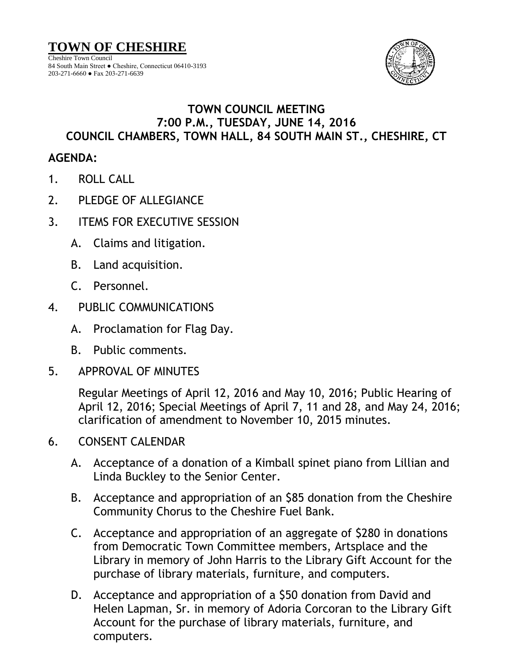

## **TOWN COUNCIL MEETING 7:00 P.M., TUESDAY, JUNE 14, 2016**

## **COUNCIL CHAMBERS, TOWN HALL, 84 SOUTH MAIN ST., CHESHIRE, CT**

## **AGENDA:**

1. ROLL CALL

203-271-6660 ● Fax 203-271-6639

- 2. PLEDGE OF ALLEGIANCE
- 3. ITEMS FOR EXECUTIVE SESSION
	- A. Claims and litigation.
	- B. Land acquisition.
	- C. Personnel.
- 4. PUBLIC COMMUNICATIONS
	- A. Proclamation for Flag Day.
	- B. Public comments.
- 5. APPROVAL OF MINUTES

Regular Meetings of April 12, 2016 and May 10, 2016; Public Hearing of April 12, 2016; Special Meetings of April 7, 11 and 28, and May 24, 2016; clarification of amendment to November 10, 2015 minutes.

- 6. CONSENT CALENDAR
	- A. Acceptance of a donation of a Kimball spinet piano from Lillian and Linda Buckley to the Senior Center.
	- B. Acceptance and appropriation of an \$85 donation from the Cheshire Community Chorus to the Cheshire Fuel Bank.
	- C. Acceptance and appropriation of an aggregate of \$280 in donations from Democratic Town Committee members, Artsplace and the Library in memory of John Harris to the Library Gift Account for the purchase of library materials, furniture, and computers.
	- D. Acceptance and appropriation of a \$50 donation from David and Helen Lapman, Sr. in memory of Adoria Corcoran to the Library Gift Account for the purchase of library materials, furniture, and computers.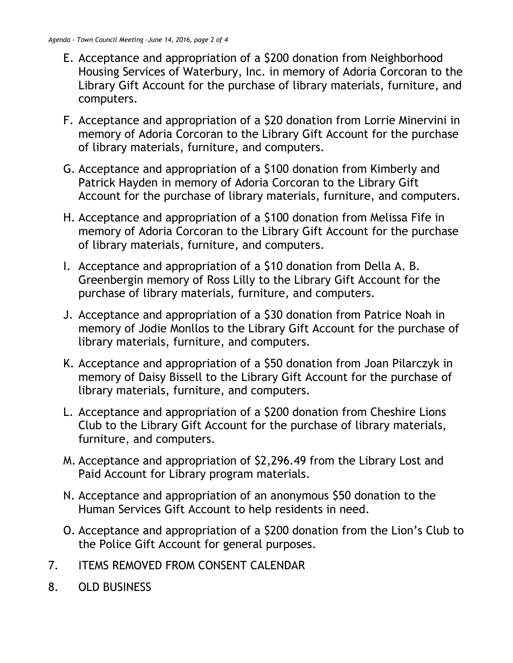- E. Acceptance and appropriation of a \$200 donation from Neighborhood Housing Services of Waterbury, Inc. in memory of Adoria Corcoran to the Library Gift Account for the purchase of library materials, furniture, and computers.
- F. Acceptance and appropriation of a \$20 donation from Lorrie Minervini in memory of Adoria Corcoran to the Library Gift Account for the purchase of library materials, furniture, and computers.
- G. Acceptance and appropriation of a \$100 donation from Kimberly and Patrick Hayden in memory of Adoria Corcoran to the Library Gift Account for the purchase of library materials, furniture, and computers.
- H. Acceptance and appropriation of a \$100 donation from Melissa Fife in memory of Adoria Corcoran to the Library Gift Account for the purchase of library materials, furniture, and computers.
- I. Acceptance and appropriation of a \$10 donation from Della A. B. Greenbergin memory of Ross Lilly to the Library Gift Account for the purchase of library materials, furniture, and computers.
- J. Acceptance and appropriation of a \$30 donation from Patrice Noah in memory of Jodie Monllos to the Library Gift Account for the purchase of library materials, furniture, and computers.
- K. Acceptance and appropriation of a \$50 donation from Joan Pilarczyk in memory of Daisy Bissell to the Library Gift Account for the purchase of library materials, furniture, and computers.
- L. Acceptance and appropriation of a \$200 donation from Cheshire Lions Club to the Library Gift Account for the purchase of library materials, furniture, and computers.
- M. Acceptance and appropriation of \$2,296.49 from the Library Lost and Paid Account for Library program materials.
- N. Acceptance and appropriation of an anonymous \$50 donation to the Human Services Gift Account to help residents in need.
- O. Acceptance and appropriation of a \$200 donation from the Lion's Club to the Police Gift Account for general purposes.
- 7. ITEMS REMOVED FROM CONSENT CALENDAR
- 8. OLD BUSINESS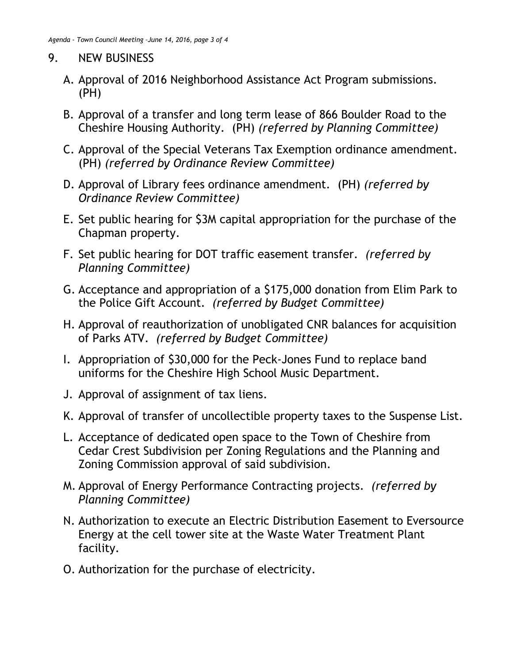## 9. NEW BUSINESS

- A. Approval of 2016 Neighborhood Assistance Act Program submissions. (PH)
- B. Approval of a transfer and long term lease of 866 Boulder Road to the Cheshire Housing Authority. (PH) *(referred by Planning Committee)*
- C. Approval of the Special Veterans Tax Exemption ordinance amendment. (PH) *(referred by Ordinance Review Committee)*
- D. Approval of Library fees ordinance amendment. (PH) *(referred by Ordinance Review Committee)*
- E. Set public hearing for \$3M capital appropriation for the purchase of the Chapman property.
- F. Set public hearing for DOT traffic easement transfer. *(referred by Planning Committee)*
- G. Acceptance and appropriation of a \$175,000 donation from Elim Park to the Police Gift Account. *(referred by Budget Committee)*
- H. Approval of reauthorization of unobligated CNR balances for acquisition of Parks ATV. *(referred by Budget Committee)*
- I. Appropriation of \$30,000 for the Peck-Jones Fund to replace band uniforms for the Cheshire High School Music Department.
- J. Approval of assignment of tax liens.
- K. Approval of transfer of uncollectible property taxes to the Suspense List.
- L. Acceptance of dedicated open space to the Town of Cheshire from Cedar Crest Subdivision per Zoning Regulations and the Planning and Zoning Commission approval of said subdivision.
- M. Approval of Energy Performance Contracting projects. *(referred by Planning Committee)*
- N. Authorization to execute an Electric Distribution Easement to Eversource Energy at the cell tower site at the Waste Water Treatment Plant facility.
- O. Authorization for the purchase of electricity.